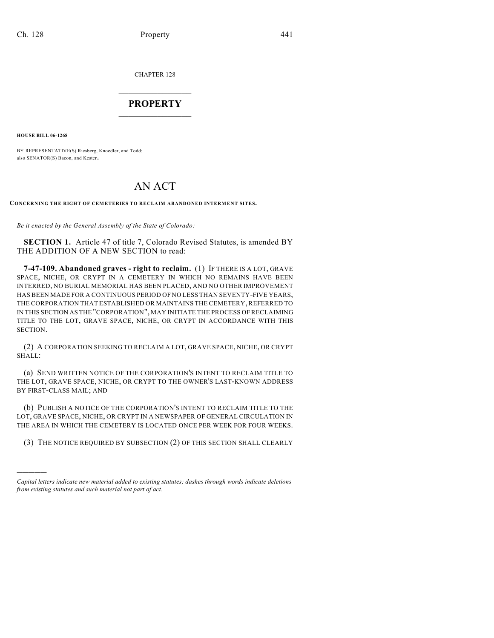CHAPTER 128

## $\overline{\phantom{a}}$  . The set of the set of the set of the set of the set of the set of the set of the set of the set of the set of the set of the set of the set of the set of the set of the set of the set of the set of the set o **PROPERTY**  $\_$   $\_$   $\_$   $\_$   $\_$   $\_$   $\_$   $\_$   $\_$

**HOUSE BILL 06-1268**

)))))

BY REPRESENTATIVE(S) Riesberg, Knoedler, and Todd; also SENATOR(S) Bacon, and Kester.

# AN ACT

**CONCERNING THE RIGHT OF CEMETERIES TO RECLAIM ABANDONED INTERMENT SITES.**

*Be it enacted by the General Assembly of the State of Colorado:*

**SECTION 1.** Article 47 of title 7, Colorado Revised Statutes, is amended BY THE ADDITION OF A NEW SECTION to read:

**7-47-109. Abandoned graves - right to reclaim.** (1) IF THERE IS A LOT, GRAVE SPACE, NICHE, OR CRYPT IN A CEMETERY IN WHICH NO REMAINS HAVE BEEN INTERRED, NO BURIAL MEMORIAL HAS BEEN PLACED, AND NO OTHER IMPROVEMENT HAS BEEN MADE FOR A CONTINUOUS PERIOD OF NO LESS THAN SEVENTY-FIVE YEARS, THE CORPORATION THAT ESTABLISHED OR MAINTAINS THE CEMETERY, REFERRED TO IN THIS SECTION AS THE "CORPORATION", MAY INITIATE THE PROCESS OF RECLAIMING TITLE TO THE LOT, GRAVE SPACE, NICHE, OR CRYPT IN ACCORDANCE WITH THIS SECTION.

(2) A CORPORATION SEEKING TO RECLAIM A LOT, GRAVE SPACE, NICHE, OR CRYPT SHALL:

(a) SEND WRITTEN NOTICE OF THE CORPORATION'S INTENT TO RECLAIM TITLE TO THE LOT, GRAVE SPACE, NICHE, OR CRYPT TO THE OWNER'S LAST-KNOWN ADDRESS BY FIRST-CLASS MAIL; AND

(b) PUBLISH A NOTICE OF THE CORPORATION'S INTENT TO RECLAIM TITLE TO THE LOT, GRAVE SPACE, NICHE, OR CRYPT IN A NEWSPAPER OF GENERAL CIRCULATION IN THE AREA IN WHICH THE CEMETERY IS LOCATED ONCE PER WEEK FOR FOUR WEEKS.

(3) THE NOTICE REQUIRED BY SUBSECTION (2) OF THIS SECTION SHALL CLEARLY

*Capital letters indicate new material added to existing statutes; dashes through words indicate deletions from existing statutes and such material not part of act.*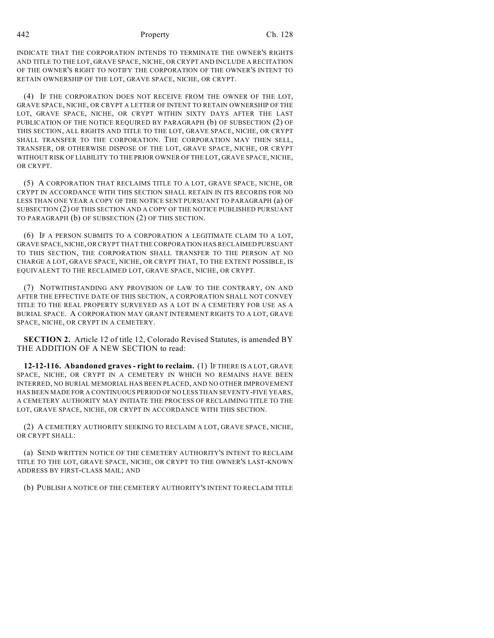#### 442 Property Ch. 128

INDICATE THAT THE CORPORATION INTENDS TO TERMINATE THE OWNER'S RIGHTS AND TITLE TO THE LOT, GRAVE SPACE, NICHE, OR CRYPT AND INCLUDE A RECITATION OF THE OWNER'S RIGHT TO NOTIFY THE CORPORATION OF THE OWNER'S INTENT TO RETAIN OWNERSHIP OF THE LOT, GRAVE SPACE, NICHE, OR CRYPT.

(4) IF THE CORPORATION DOES NOT RECEIVE FROM THE OWNER OF THE LOT, GRAVE SPACE, NICHE, OR CRYPT A LETTER OF INTENT TO RETAIN OWNERSHIP OF THE LOT, GRAVE SPACE, NICHE, OR CRYPT WITHIN SIXTY DAYS AFTER THE LAST PUBLICATION OF THE NOTICE REQUIRED BY PARAGRAPH (b) OF SUBSECTION (2) OF THIS SECTION, ALL RIGHTS AND TITLE TO THE LOT, GRAVE SPACE, NICHE, OR CRYPT SHALL TRANSFER TO THE CORPORATION. THE CORPORATION MAY THEN SELL, TRANSFER, OR OTHERWISE DISPOSE OF THE LOT, GRAVE SPACE, NICHE, OR CRYPT WITHOUT RISK OF LIABILITY TO THE PRIOR OWNER OF THE LOT, GRAVE SPACE, NICHE, OR CRYPT.

(5) A CORPORATION THAT RECLAIMS TITLE TO A LOT, GRAVE SPACE, NICHE, OR CRYPT IN ACCORDANCE WITH THIS SECTION SHALL RETAIN IN ITS RECORDS FOR NO LESS THAN ONE YEAR A COPY OF THE NOTICE SENT PURSUANT TO PARAGRAPH (a) OF SUBSECTION (2) OF THIS SECTION AND A COPY OF THE NOTICE PUBLISHED PURSUANT TO PARAGRAPH (b) OF SUBSECTION (2) OF THIS SECTION.

(6) IF A PERSON SUBMITS TO A CORPORATION A LEGITIMATE CLAIM TO A LOT, GRAVE SPACE, NICHE, OR CRYPT THAT THE CORPORATION HAS RECLAIMED PURSUANT TO THIS SECTION, THE CORPORATION SHALL TRANSFER TO THE PERSON AT NO CHARGE A LOT, GRAVE SPACE, NICHE, OR CRYPT THAT, TO THE EXTENT POSSIBLE, IS EQUIVALENT TO THE RECLAIMED LOT, GRAVE SPACE, NICHE, OR CRYPT.

(7) NOTWITHSTANDING ANY PROVISION OF LAW TO THE CONTRARY, ON AND AFTER THE EFFECTIVE DATE OF THIS SECTION, A CORPORATION SHALL NOT CONVEY TITLE TO THE REAL PROPERTY SURVEYED AS A LOT IN A CEMETERY FOR USE AS A BURIAL SPACE. A CORPORATION MAY GRANT INTERMENT RIGHTS TO A LOT, GRAVE SPACE, NICHE, OR CRYPT IN A CEMETERY.

**SECTION 2.** Article 12 of title 12, Colorado Revised Statutes, is amended BY THE ADDITION OF A NEW SECTION to read:

**12-12-116. Abandoned graves - right to reclaim.** (1) IF THERE IS A LOT, GRAVE SPACE, NICHE, OR CRYPT IN A CEMETERY IN WHICH NO REMAINS HAVE BEEN INTERRED, NO BURIAL MEMORIAL HAS BEEN PLACED, AND NO OTHER IMPROVEMENT HAS BEEN MADE FOR A CONTINUOUS PERIOD OF NO LESS THAN SEVENTY-FIVE YEARS, A CEMETERY AUTHORITY MAY INITIATE THE PROCESS OF RECLAIMING TITLE TO THE LOT, GRAVE SPACE, NICHE, OR CRYPT IN ACCORDANCE WITH THIS SECTION.

(2) A CEMETERY AUTHORITY SEEKING TO RECLAIM A LOT, GRAVE SPACE, NICHE, OR CRYPT SHALL:

(a) SEND WRITTEN NOTICE OF THE CEMETERY AUTHORITY'S INTENT TO RECLAIM TITLE TO THE LOT, GRAVE SPACE, NICHE, OR CRYPT TO THE OWNER'S LAST-KNOWN ADDRESS BY FIRST-CLASS MAIL; AND

(b) PUBLISH A NOTICE OF THE CEMETERY AUTHORITY'S INTENT TO RECLAIM TITLE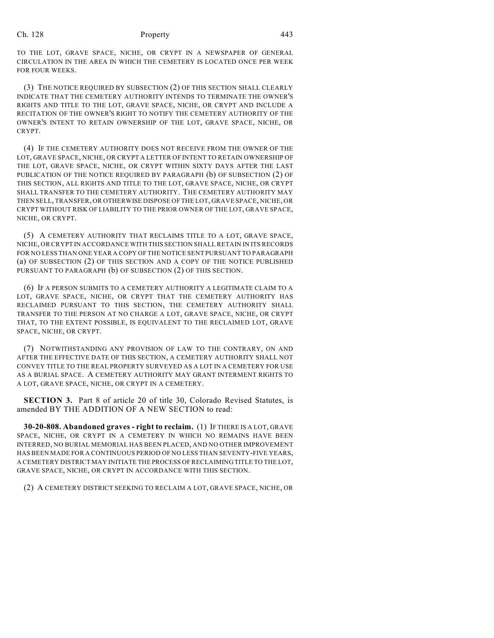#### Ch. 128 Property 2443

TO THE LOT, GRAVE SPACE, NICHE, OR CRYPT IN A NEWSPAPER OF GENERAL CIRCULATION IN THE AREA IN WHICH THE CEMETERY IS LOCATED ONCE PER WEEK FOR FOUR WEEKS.

(3) THE NOTICE REQUIRED BY SUBSECTION (2) OF THIS SECTION SHALL CLEARLY INDICATE THAT THE CEMETERY AUTHORITY INTENDS TO TERMINATE THE OWNER'S RIGHTS AND TITLE TO THE LOT, GRAVE SPACE, NICHE, OR CRYPT AND INCLUDE A RECITATION OF THE OWNER'S RIGHT TO NOTIFY THE CEMETERY AUTHORITY OF THE OWNER'S INTENT TO RETAIN OWNERSHIP OF THE LOT, GRAVE SPACE, NICHE, OR CRYPT.

(4) IF THE CEMETERY AUTHORITY DOES NOT RECEIVE FROM THE OWNER OF THE LOT, GRAVE SPACE, NICHE, OR CRYPT A LETTER OF INTENT TO RETAIN OWNERSHIP OF THE LOT, GRAVE SPACE, NICHE, OR CRYPT WITHIN SIXTY DAYS AFTER THE LAST PUBLICATION OF THE NOTICE REQUIRED BY PARAGRAPH (b) OF SUBSECTION (2) OF THIS SECTION, ALL RIGHTS AND TITLE TO THE LOT, GRAVE SPACE, NICHE, OR CRYPT SHALL TRANSFER TO THE CEMETERY AUTHORITY. THE CEMETERY AUTHORITY MAY THEN SELL, TRANSFER, OR OTHERWISE DISPOSE OF THE LOT, GRAVE SPACE, NICHE, OR CRYPT WITHOUT RISK OF LIABILITY TO THE PRIOR OWNER OF THE LOT, GRAVE SPACE, NICHE, OR CRYPT.

(5) A CEMETERY AUTHORITY THAT RECLAIMS TITLE TO A LOT, GRAVE SPACE, NICHE, OR CRYPT IN ACCORDANCE WITH THIS SECTION SHALL RETAIN IN ITS RECORDS FOR NO LESS THAN ONE YEAR A COPY OF THE NOTICE SENT PURSUANT TO PARAGRAPH (a) OF SUBSECTION (2) OF THIS SECTION AND A COPY OF THE NOTICE PUBLISHED PURSUANT TO PARAGRAPH (b) OF SUBSECTION (2) OF THIS SECTION.

(6) IF A PERSON SUBMITS TO A CEMETERY AUTHORITY A LEGITIMATE CLAIM TO A LOT, GRAVE SPACE, NICHE, OR CRYPT THAT THE CEMETERY AUTHORITY HAS RECLAIMED PURSUANT TO THIS SECTION, THE CEMETERY AUTHORITY SHALL TRANSFER TO THE PERSON AT NO CHARGE A LOT, GRAVE SPACE, NICHE, OR CRYPT THAT, TO THE EXTENT POSSIBLE, IS EQUIVALENT TO THE RECLAIMED LOT, GRAVE SPACE, NICHE, OR CRYPT.

(7) NOTWITHSTANDING ANY PROVISION OF LAW TO THE CONTRARY, ON AND AFTER THE EFFECTIVE DATE OF THIS SECTION, A CEMETERY AUTHORITY SHALL NOT CONVEY TITLE TO THE REAL PROPERTY SURVEYED AS A LOT IN A CEMETERY FOR USE AS A BURIAL SPACE. A CEMETERY AUTHORITY MAY GRANT INTERMENT RIGHTS TO A LOT, GRAVE SPACE, NICHE, OR CRYPT IN A CEMETERY.

**SECTION 3.** Part 8 of article 20 of title 30. Colorado Revised Statutes, is amended BY THE ADDITION OF A NEW SECTION to read:

**30-20-808. Abandoned graves - right to reclaim.** (1) IF THERE IS A LOT, GRAVE SPACE, NICHE, OR CRYPT IN A CEMETERY IN WHICH NO REMAINS HAVE BEEN INTERRED, NO BURIAL MEMORIAL HAS BEEN PLACED, AND NO OTHER IMPROVEMENT HAS BEEN MADE FOR A CONTINUOUS PERIOD OF NO LESS THAN SEVENTY-FIVE YEARS, A CEMETERY DISTRICT MAY INITIATE THE PROCESS OF RECLAIMING TITLE TO THE LOT, GRAVE SPACE, NICHE, OR CRYPT IN ACCORDANCE WITH THIS SECTION.

(2) A CEMETERY DISTRICT SEEKING TO RECLAIM A LOT, GRAVE SPACE, NICHE, OR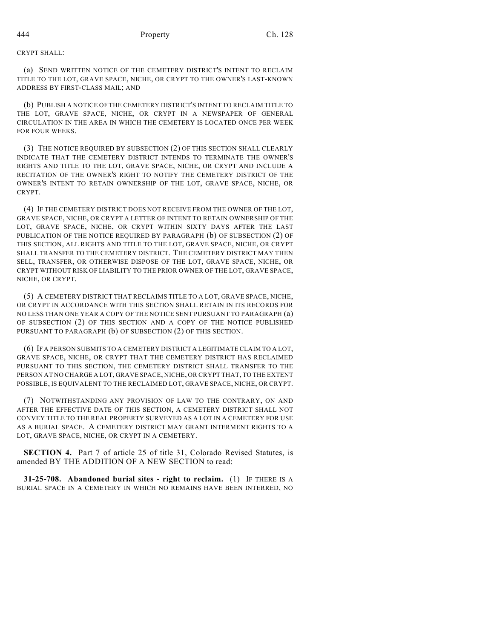CRYPT SHALL:

(a) SEND WRITTEN NOTICE OF THE CEMETERY DISTRICT'S INTENT TO RECLAIM TITLE TO THE LOT, GRAVE SPACE, NICHE, OR CRYPT TO THE OWNER'S LAST-KNOWN ADDRESS BY FIRST-CLASS MAIL; AND

(b) PUBLISH A NOTICE OF THE CEMETERY DISTRICT'S INTENT TO RECLAIM TITLE TO THE LOT, GRAVE SPACE, NICHE, OR CRYPT IN A NEWSPAPER OF GENERAL CIRCULATION IN THE AREA IN WHICH THE CEMETERY IS LOCATED ONCE PER WEEK FOR FOUR WEEKS.

(3) THE NOTICE REQUIRED BY SUBSECTION (2) OF THIS SECTION SHALL CLEARLY INDICATE THAT THE CEMETERY DISTRICT INTENDS TO TERMINATE THE OWNER'S RIGHTS AND TITLE TO THE LOT, GRAVE SPACE, NICHE, OR CRYPT AND INCLUDE A RECITATION OF THE OWNER'S RIGHT TO NOTIFY THE CEMETERY DISTRICT OF THE OWNER'S INTENT TO RETAIN OWNERSHIP OF THE LOT, GRAVE SPACE, NICHE, OR CRYPT.

(4) IF THE CEMETERY DISTRICT DOES NOT RECEIVE FROM THE OWNER OF THE LOT, GRAVE SPACE, NICHE, OR CRYPT A LETTER OF INTENT TO RETAIN OWNERSHIP OF THE LOT, GRAVE SPACE, NICHE, OR CRYPT WITHIN SIXTY DAYS AFTER THE LAST PUBLICATION OF THE NOTICE REQUIRED BY PARAGRAPH (b) OF SUBSECTION (2) OF THIS SECTION, ALL RIGHTS AND TITLE TO THE LOT, GRAVE SPACE, NICHE, OR CRYPT SHALL TRANSFER TO THE CEMETERY DISTRICT. THE CEMETERY DISTRICT MAY THEN SELL, TRANSFER, OR OTHERWISE DISPOSE OF THE LOT, GRAVE SPACE, NICHE, OR CRYPT WITHOUT RISK OF LIABILITY TO THE PRIOR OWNER OF THE LOT, GRAVE SPACE, NICHE, OR CRYPT.

(5) A CEMETERY DISTRICT THAT RECLAIMS TITLE TO A LOT, GRAVE SPACE, NICHE, OR CRYPT IN ACCORDANCE WITH THIS SECTION SHALL RETAIN IN ITS RECORDS FOR NO LESS THAN ONE YEAR A COPY OF THE NOTICE SENT PURSUANT TO PARAGRAPH (a) OF SUBSECTION (2) OF THIS SECTION AND A COPY OF THE NOTICE PUBLISHED PURSUANT TO PARAGRAPH (b) OF SUBSECTION (2) OF THIS SECTION.

(6) IF A PERSON SUBMITS TO A CEMETERY DISTRICT A LEGITIMATE CLAIM TO A LOT, GRAVE SPACE, NICHE, OR CRYPT THAT THE CEMETERY DISTRICT HAS RECLAIMED PURSUANT TO THIS SECTION, THE CEMETERY DISTRICT SHALL TRANSFER TO THE PERSON AT NO CHARGE A LOT, GRAVE SPACE, NICHE, OR CRYPT THAT, TO THE EXTENT POSSIBLE, IS EQUIVALENT TO THE RECLAIMED LOT, GRAVE SPACE, NICHE, OR CRYPT.

(7) NOTWITHSTANDING ANY PROVISION OF LAW TO THE CONTRARY, ON AND AFTER THE EFFECTIVE DATE OF THIS SECTION, A CEMETERY DISTRICT SHALL NOT CONVEY TITLE TO THE REAL PROPERTY SURVEYED AS A LOT IN A CEMETERY FOR USE AS A BURIAL SPACE. A CEMETERY DISTRICT MAY GRANT INTERMENT RIGHTS TO A LOT, GRAVE SPACE, NICHE, OR CRYPT IN A CEMETERY.

**SECTION 4.** Part 7 of article 25 of title 31, Colorado Revised Statutes, is amended BY THE ADDITION OF A NEW SECTION to read:

**31-25-708. Abandoned burial sites - right to reclaim.** (1) IF THERE IS A BURIAL SPACE IN A CEMETERY IN WHICH NO REMAINS HAVE BEEN INTERRED, NO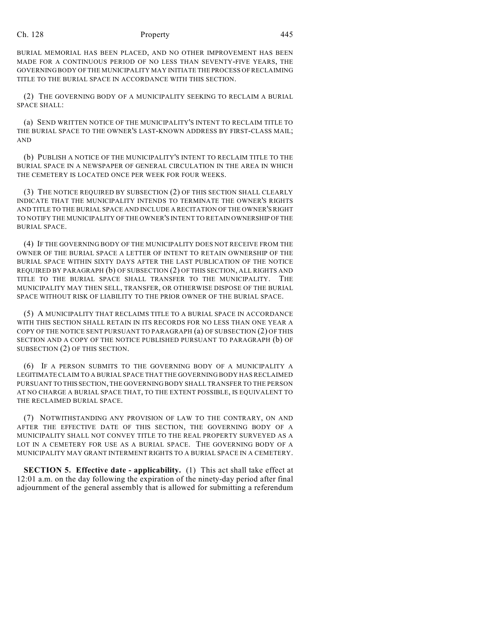#### Ch. 128 Property 2445

BURIAL MEMORIAL HAS BEEN PLACED, AND NO OTHER IMPROVEMENT HAS BEEN MADE FOR A CONTINUOUS PERIOD OF NO LESS THAN SEVENTY-FIVE YEARS, THE GOVERNING BODY OF THE MUNICIPALITY MAY INITIATE THE PROCESS OF RECLAIMING TITLE TO THE BURIAL SPACE IN ACCORDANCE WITH THIS SECTION.

(2) THE GOVERNING BODY OF A MUNICIPALITY SEEKING TO RECLAIM A BURIAL SPACE SHALL:

(a) SEND WRITTEN NOTICE OF THE MUNICIPALITY'S INTENT TO RECLAIM TITLE TO THE BURIAL SPACE TO THE OWNER'S LAST-KNOWN ADDRESS BY FIRST-CLASS MAIL; AND

(b) PUBLISH A NOTICE OF THE MUNICIPALITY'S INTENT TO RECLAIM TITLE TO THE BURIAL SPACE IN A NEWSPAPER OF GENERAL CIRCULATION IN THE AREA IN WHICH THE CEMETERY IS LOCATED ONCE PER WEEK FOR FOUR WEEKS.

(3) THE NOTICE REQUIRED BY SUBSECTION (2) OF THIS SECTION SHALL CLEARLY INDICATE THAT THE MUNICIPALITY INTENDS TO TERMINATE THE OWNER'S RIGHTS AND TITLE TO THE BURIAL SPACE AND INCLUDE A RECITATION OF THE OWNER'S RIGHT TO NOTIFY THE MUNICIPALITY OF THE OWNER'S INTENT TO RETAIN OWNERSHIP OF THE BURIAL SPACE.

(4) IF THE GOVERNING BODY OF THE MUNICIPALITY DOES NOT RECEIVE FROM THE OWNER OF THE BURIAL SPACE A LETTER OF INTENT TO RETAIN OWNERSHIP OF THE BURIAL SPACE WITHIN SIXTY DAYS AFTER THE LAST PUBLICATION OF THE NOTICE REQUIRED BY PARAGRAPH (b) OF SUBSECTION (2) OF THIS SECTION, ALL RIGHTS AND TITLE TO THE BURIAL SPACE SHALL TRANSFER TO THE MUNICIPALITY. THE MUNICIPALITY MAY THEN SELL, TRANSFER, OR OTHERWISE DISPOSE OF THE BURIAL SPACE WITHOUT RISK OF LIABILITY TO THE PRIOR OWNER OF THE BURIAL SPACE.

(5) A MUNICIPALITY THAT RECLAIMS TITLE TO A BURIAL SPACE IN ACCORDANCE WITH THIS SECTION SHALL RETAIN IN ITS RECORDS FOR NO LESS THAN ONE YEAR A COPY OF THE NOTICE SENT PURSUANT TO PARAGRAPH (a) OF SUBSECTION (2) OF THIS SECTION AND A COPY OF THE NOTICE PUBLISHED PURSUANT TO PARAGRAPH (b) OF SUBSECTION (2) OF THIS SECTION.

(6) IF A PERSON SUBMITS TO THE GOVERNING BODY OF A MUNICIPALITY A LEGITIMATE CLAIM TO A BURIAL SPACE THAT THE GOVERNING BODY HAS RECLAIMED PURSUANT TO THIS SECTION, THE GOVERNING BODY SHALL TRANSFER TO THE PERSON AT NO CHARGE A BURIAL SPACE THAT, TO THE EXTENT POSSIBLE, IS EQUIVALENT TO THE RECLAIMED BURIAL SPACE.

(7) NOTWITHSTANDING ANY PROVISION OF LAW TO THE CONTRARY, ON AND AFTER THE EFFECTIVE DATE OF THIS SECTION, THE GOVERNING BODY OF A MUNICIPALITY SHALL NOT CONVEY TITLE TO THE REAL PROPERTY SURVEYED AS A LOT IN A CEMETERY FOR USE AS A BURIAL SPACE. THE GOVERNING BODY OF A MUNICIPALITY MAY GRANT INTERMENT RIGHTS TO A BURIAL SPACE IN A CEMETERY.

**SECTION 5. Effective date - applicability.** (1) This act shall take effect at 12:01 a.m. on the day following the expiration of the ninety-day period after final adjournment of the general assembly that is allowed for submitting a referendum